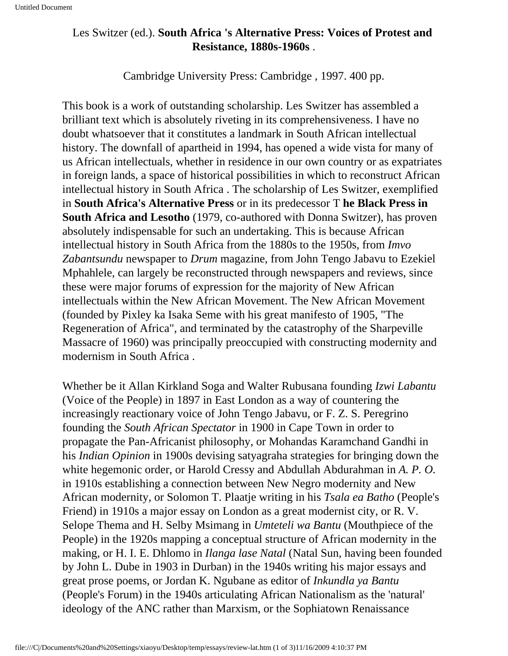## Les Switzer (ed.). **South Africa 's Alternative Press: Voices of Protest and Resistance, 1880s-1960s** .

Cambridge University Press: Cambridge , 1997. 400 pp.

This book is a work of outstanding scholarship. Les Switzer has assembled a brilliant text which is absolutely riveting in its comprehensiveness. I have no doubt whatsoever that it constitutes a landmark in South African intellectual history. The downfall of apartheid in 1994, has opened a wide vista for many of us African intellectuals, whether in residence in our own country or as expatriates in foreign lands, a space of historical possibilities in which to reconstruct African intellectual history in South Africa . The scholarship of Les Switzer, exemplified in **South Africa's Alternative Press** or in its predecessor T **he Black Press in South Africa and Lesotho** (1979, co-authored with Donna Switzer), has proven absolutely indispensable for such an undertaking. This is because African intellectual history in South Africa from the 1880s to the 1950s, from *Imvo Zabantsundu* newspaper to *Drum* magazine, from John Tengo Jabavu to Ezekiel Mphahlele, can largely be reconstructed through newspapers and reviews, since these were major forums of expression for the majority of New African intellectuals within the New African Movement. The New African Movement (founded by Pixley ka Isaka Seme with his great manifesto of 1905, "The Regeneration of Africa", and terminated by the catastrophy of the Sharpeville Massacre of 1960) was principally preoccupied with constructing modernity and modernism in South Africa .

Whether be it Allan Kirkland Soga and Walter Rubusana founding *Izwi Labantu*  (Voice of the People) in 1897 in East London as a way of countering the increasingly reactionary voice of John Tengo Jabavu, or F. Z. S. Peregrino founding the *South African Spectator* in 1900 in Cape Town in order to propagate the Pan-Africanist philosophy, or Mohandas Karamchand Gandhi in his *Indian Opinion* in 1900s devising satyagraha strategies for bringing down the white hegemonic order, or Harold Cressy and Abdullah Abdurahman in *A. P. O.*  in 1910s establishing a connection between New Negro modernity and New African modernity, or Solomon T. Plaatje writing in his *Tsala ea Batho* (People's Friend) in 1910s a major essay on London as a great modernist city, or R. V. Selope Thema and H. Selby Msimang in *Umteteli wa Bantu* (Mouthpiece of the People) in the 1920s mapping a conceptual structure of African modernity in the making, or H. I. E. Dhlomo in *Ilanga lase Natal* (Natal Sun, having been founded by John L. Dube in 1903 in Durban) in the 1940s writing his major essays and great prose poems, or Jordan K. Ngubane as editor of *Inkundla ya Bantu*  (People's Forum) in the 1940s articulating African Nationalism as the 'natural' ideology of the ANC rather than Marxism, or the Sophiatown Renaissance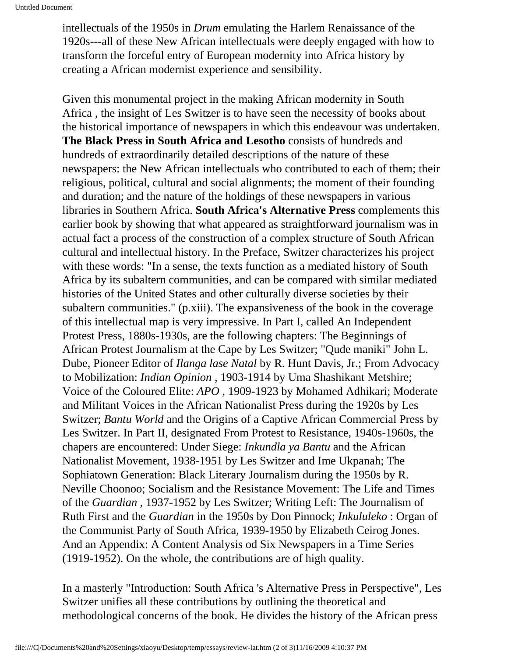intellectuals of the 1950s in *Drum* emulating the Harlem Renaissance of the 1920s---all of these New African intellectuals were deeply engaged with how to transform the forceful entry of European modernity into Africa history by creating a African modernist experience and sensibility.

Given this monumental project in the making African modernity in South Africa , the insight of Les Switzer is to have seen the necessity of books about the historical importance of newspapers in which this endeavour was undertaken. **The Black Press in South Africa and Lesotho** consists of hundreds and hundreds of extraordinarily detailed descriptions of the nature of these newspapers: the New African intellectuals who contributed to each of them; their religious, political, cultural and social alignments; the moment of their founding and duration; and the nature of the holdings of these newspapers in various libraries in Southern Africa. **South Africa's Alternative Press** complements this earlier book by showing that what appeared as straightforward journalism was in actual fact a process of the construction of a complex structure of South African cultural and intellectual history. In the Preface, Switzer characterizes his project with these words: "In a sense, the texts function as a mediated history of South Africa by its subaltern communities, and can be compared with similar mediated histories of the United States and other culturally diverse societies by their subaltern communities." (p.xiii). The expansiveness of the book in the coverage of this intellectual map is very impressive. In Part I, called An Independent Protest Press, 1880s-1930s, are the following chapters: The Beginnings of African Protest Journalism at the Cape by Les Switzer; "Qude maniki" John L. Dube, Pioneer Editor of *Ilanga lase Natal* by R. Hunt Davis, Jr.; From Advocacy to Mobilization: *Indian Opinion* , 1903-1914 by Uma Shashikant Metshire; Voice of the Coloured Elite: *APO* , 1909-1923 by Mohamed Adhikari; Moderate and Militant Voices in the African Nationalist Press during the 1920s by Les Switzer; *Bantu World* and the Origins of a Captive African Commercial Press by Les Switzer. In Part II, designated From Protest to Resistance, 1940s-1960s, the chapers are encountered: Under Siege: *Inkundla ya Bantu* and the African Nationalist Movement, 1938-1951 by Les Switzer and Ime Ukpanah; The Sophiatown Generation: Black Literary Journalism during the 1950s by R. Neville Choonoo; Socialism and the Resistance Movement: The Life and Times of the *Guardian* , 1937-1952 by Les Switzer; Writing Left: The Journalism of Ruth First and the *Guardian* in the 1950s by Don Pinnock; *Inkululeko* : Organ of the Communist Party of South Africa, 1939-1950 by Elizabeth Ceirog Jones. And an Appendix: A Content Analysis od Six Newspapers in a Time Series (1919-1952). On the whole, the contributions are of high quality.

In a masterly "Introduction: South Africa 's Alternative Press in Perspective", Les Switzer unifies all these contributions by outlining the theoretical and methodological concerns of the book. He divides the history of the African press